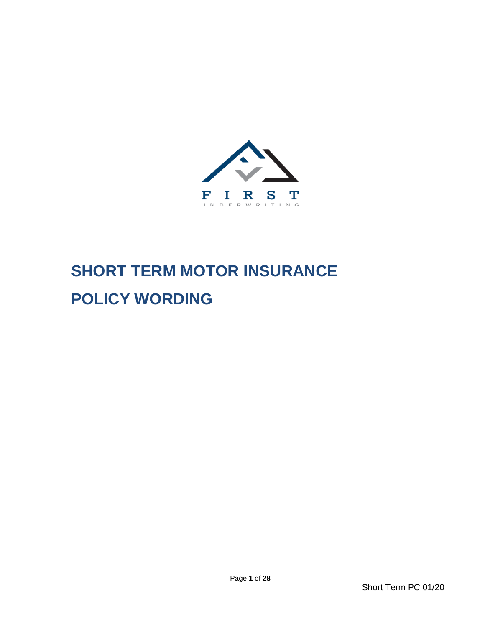

# **SHORT TERM MOTOR INSURANCE POLICY WORDING**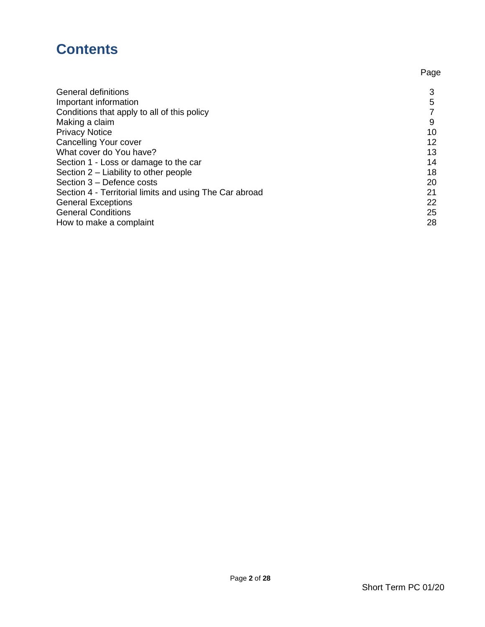# **Contents**

|                                                         | Page |
|---------------------------------------------------------|------|
| <b>General definitions</b>                              | 3    |
| Important information                                   | 5    |
| Conditions that apply to all of this policy             |      |
| Making a claim                                          | 9    |
| <b>Privacy Notice</b>                                   | 10   |
| <b>Cancelling Your cover</b>                            | 12   |
| What cover do You have?                                 | 13   |
| Section 1 - Loss or damage to the car                   | 14   |
| Section 2 – Liability to other people                   | 18   |
| Section 3 - Defence costs                               | 20   |
| Section 4 - Territorial limits and using The Car abroad | 21   |
| <b>General Exceptions</b>                               | 22   |
| <b>General Conditions</b>                               | 25   |
| How to make a complaint                                 | 28   |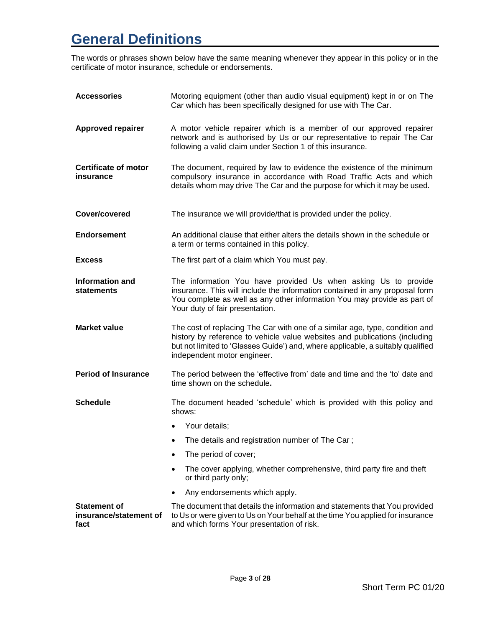# **General Definitions**

The words or phrases shown below have the same meaning whenever they appear in this policy or in the certificate of motor insurance, schedule or endorsements.

| <b>Accessories</b>                                    | Motoring equipment (other than audio visual equipment) kept in or on The<br>Car which has been specifically designed for use with The Car.                                                                                                                                   |
|-------------------------------------------------------|------------------------------------------------------------------------------------------------------------------------------------------------------------------------------------------------------------------------------------------------------------------------------|
| <b>Approved repairer</b>                              | A motor vehicle repairer which is a member of our approved repairer<br>network and is authorised by Us or our representative to repair The Car<br>following a valid claim under Section 1 of this insurance.                                                                 |
| <b>Certificate of motor</b><br>insurance              | The document, required by law to evidence the existence of the minimum<br>compulsory insurance in accordance with Road Traffic Acts and which<br>details whom may drive The Car and the purpose for which it may be used.                                                    |
| Cover/covered                                         | The insurance we will provide/that is provided under the policy.                                                                                                                                                                                                             |
| <b>Endorsement</b>                                    | An additional clause that either alters the details shown in the schedule or<br>a term or terms contained in this policy.                                                                                                                                                    |
| <b>Excess</b>                                         | The first part of a claim which You must pay.                                                                                                                                                                                                                                |
| <b>Information and</b><br><b>statements</b>           | The information You have provided Us when asking Us to provide<br>insurance. This will include the information contained in any proposal form<br>You complete as well as any other information You may provide as part of<br>Your duty of fair presentation.                 |
| <b>Market value</b>                                   | The cost of replacing The Car with one of a similar age, type, condition and<br>history by reference to vehicle value websites and publications (including<br>but not limited to 'Glasses Guide') and, where applicable, a suitably qualified<br>independent motor engineer. |
| <b>Period of Insurance</b>                            | The period between the 'effective from' date and time and the 'to' date and<br>time shown on the schedule.                                                                                                                                                                   |
| <b>Schedule</b>                                       | The document headed 'schedule' which is provided with this policy and<br>shows:                                                                                                                                                                                              |
|                                                       | Your details;<br>$\bullet$                                                                                                                                                                                                                                                   |
|                                                       | The details and registration number of The Car;<br>$\bullet$                                                                                                                                                                                                                 |
|                                                       | The period of cover;<br>$\bullet$                                                                                                                                                                                                                                            |
|                                                       | The cover applying, whether comprehensive, third party fire and theft<br>$\bullet$<br>or third party only;                                                                                                                                                                   |
|                                                       | Any endorsements which apply.                                                                                                                                                                                                                                                |
| <b>Statement of</b><br>insurance/statement of<br>fact | The document that details the information and statements that You provided<br>to Us or were given to Us on Your behalf at the time You applied for insurance<br>and which forms Your presentation of risk.                                                                   |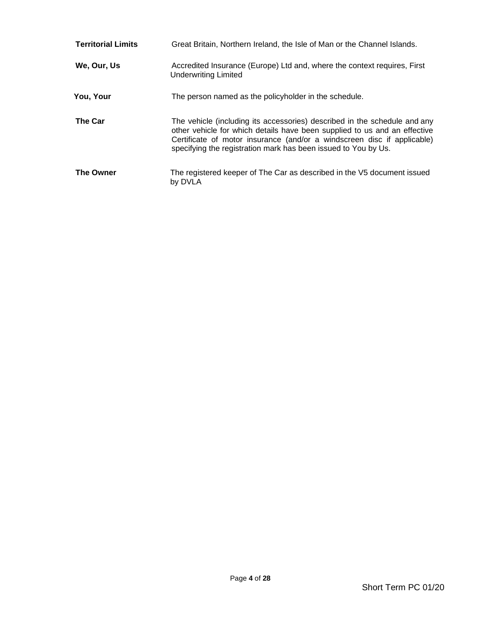| <b>Territorial Limits</b> | Great Britain, Northern Ireland, the Isle of Man or the Channel Islands.                                                                                                                                                                                                                            |
|---------------------------|-----------------------------------------------------------------------------------------------------------------------------------------------------------------------------------------------------------------------------------------------------------------------------------------------------|
| We, Our, Us               | Accredited Insurance (Europe) Ltd and, where the context requires, First<br><b>Underwriting Limited</b>                                                                                                                                                                                             |
| You, Your                 | The person named as the policyholder in the schedule.                                                                                                                                                                                                                                               |
| <b>The Car</b>            | The vehicle (including its accessories) described in the schedule and any<br>other vehicle for which details have been supplied to us and an effective<br>Certificate of motor insurance (and/or a windscreen disc if applicable)<br>specifying the registration mark has been issued to You by Us. |
| <b>The Owner</b>          | The registered keeper of The Car as described in the V5 document issued<br>by DVLA                                                                                                                                                                                                                  |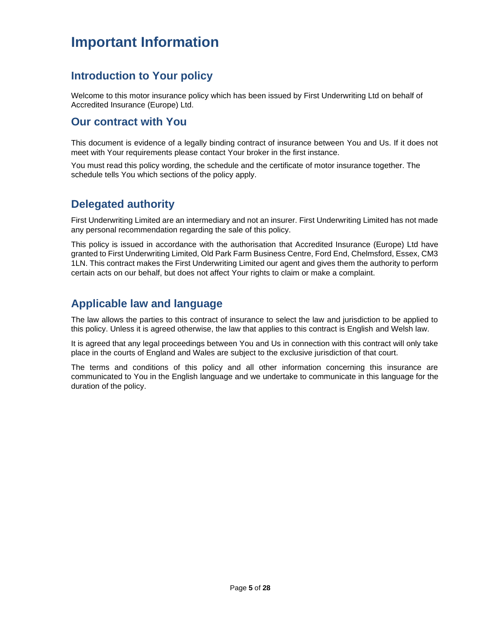# **Important Information**

### **Introduction to Your policy**

Welcome to this motor insurance policy which has been issued by First Underwriting Ltd on behalf of Accredited Insurance (Europe) Ltd.

### **Our contract with You**

This document is evidence of a legally binding contract of insurance between You and Us. If it does not meet with Your requirements please contact Your broker in the first instance.

You must read this policy wording, the schedule and the certificate of motor insurance together. The schedule tells You which sections of the policy apply.

### **Delegated authority**

First Underwriting Limited are an intermediary and not an insurer. First Underwriting Limited has not made any personal recommendation regarding the sale of this policy.

This policy is issued in accordance with the authorisation that Accredited Insurance (Europe) Ltd have granted to First Underwriting Limited, Old Park Farm Business Centre, Ford End, Chelmsford, Essex, CM3 1LN. This contract makes the First Underwriting Limited our agent and gives them the authority to perform certain acts on our behalf, but does not affect Your rights to claim or make a complaint.

### **Applicable law and language**

The law allows the parties to this contract of insurance to select the law and jurisdiction to be applied to this policy. Unless it is agreed otherwise, the law that applies to this contract is English and Welsh law.

It is agreed that any legal proceedings between You and Us in connection with this contract will only take place in the courts of England and Wales are subject to the exclusive jurisdiction of that court.

The terms and conditions of this policy and all other information concerning this insurance are communicated to You in the English language and we undertake to communicate in this language for the duration of the policy.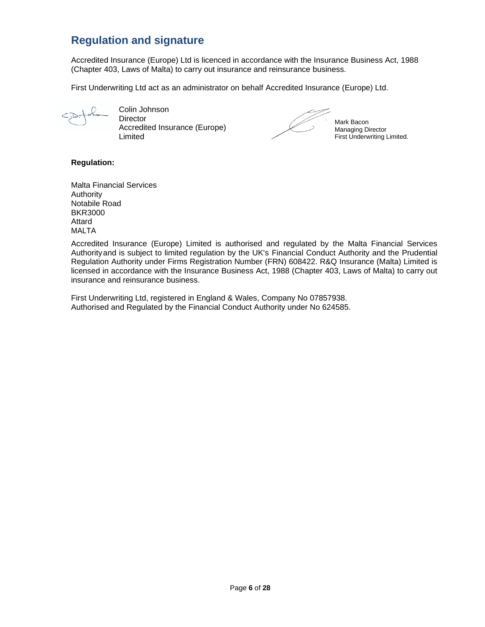### **Regulation and signature**

Accredited Insurance (Europe) Ltd is licenced in accordance with the Insurance Business Act, 1988 (Chapter 403, Laws of Malta) to carry out insurance and reinsurance business.

First Underwriting Ltd act as an administrator on behalf Accredited Insurance (Europe) Ltd.

Colin Johnson **Director** Accredited Insurance (Europe) Limited



Mark Bacon Managing Director First Underwriting Limited.

#### **Regulation:**

Malta Financial Services Authority Notabile Road BKR3000 Attard MALTA

Accredited Insurance (Europe) Limited is authorised and regulated by the Malta Financial Services Authorityand is subject to limited regulation by the UK's Financial Conduct Authority and the Prudential Regulation Authority under Firms Registration Number (FRN) 608422. R&Q Insurance (Malta) Limited is licensed in accordance with the Insurance Business Act, 1988 (Chapter 403, Laws of Malta) to carry out insurance and reinsurance business.

First Underwriting Ltd, registered in England & Wales, Company No 07857938. Authorised and Regulated by the Financial Conduct Authority under No 624585.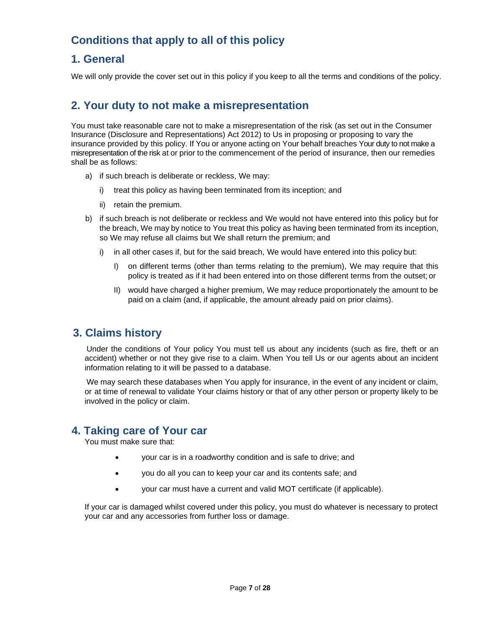### **Conditions that apply to all of this policy**

### **1. General**

We will only provide the cover set out in this policy if you keep to all the terms and conditions of the policy.

### **2. Your duty to not make a misrepresentation**

You must take reasonable care not to make a misrepresentation of the risk (as set out in the Consumer Insurance (Disclosure and Representations) Act 2012) to Us in proposing or proposing to vary the insurance provided by this policy. If You or anyone acting on Your behalf breaches Your duty to not make a misrepresentation of the risk at or prior to the commencement of the period of insurance, then our remedies shall be as follows:

- a) if such breach is deliberate or reckless, We may:
	- i) treat this policy as having been terminated from its inception; and
	- ii) retain the premium.
- b) if such breach is not deliberate or reckless and We would not have entered into this policy but for the breach, We may by notice to You treat this policy as having been terminated from its inception, so We may refuse all claims but We shall return the premium; and
	- i) in all other cases if, but for the said breach, We would have entered into this policy but:
		- I) on different terms (other than terms relating to the premium), We may require that this policy is treated as if it had been entered into on those different terms from the outset; or
		- II) would have charged a higher premium, We may reduce proportionately the amount to be paid on a claim (and, if applicable, the amount already paid on prior claims).

### **3. Claims history**

Under the conditions of Your policy You must tell us about any incidents (such as fire, theft or an accident) whether or not they give rise to a claim. When You tell Us or our agents about an incident information relating to it will be passed to a database.

We may search these databases when You apply for insurance, in the event of any incident or claim, or at time of renewal to validate Your claims history or that of any other person or property likely to be involved in the policy or claim.

### **4. Taking care of Your car**

You must make sure that:

- your car is in a roadworthy condition and is safe to drive; and
- you do all you can to keep your car and its contents safe; and
- your car must have a current and valid MOT certificate (if applicable).

If your car is damaged whilst covered under this policy, you must do whatever is necessary to protect your car and any accessories from further loss or damage.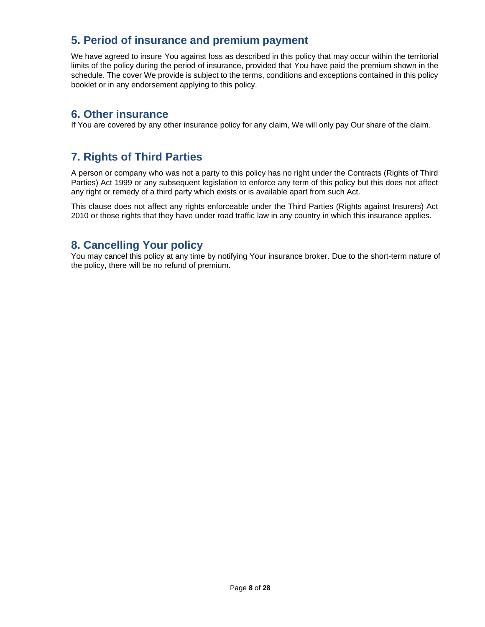### **5. Period of insurance and premium payment**

We have agreed to insure You against loss as described in this policy that may occur within the territorial limits of the policy during the period of insurance, provided that You have paid the premium shown in the schedule. The cover We provide is subject to the terms, conditions and exceptions contained in this policy booklet or in any endorsement applying to this policy.

### **6. Other insurance**

If You are covered by any other insurance policy for any claim, We will only pay Our share of the claim.

### **7. Rights of Third Parties**

A person or company who was not a party to this policy has no right under the Contracts (Rights of Third Parties) Act 1999 or any subsequent legislation to enforce any term of this policy but this does not affect any right or remedy of a third party which exists or is available apart from such Act.

This clause does not affect any rights enforceable under the Third Parties (Rights against Insurers) Act 2010 or those rights that they have under road traffic law in any country in which this insurance applies.

### **8. Cancelling Your policy**

You may cancel this policy at any time by notifying Your insurance broker. Due to the short-term nature of the policy, there will be no refund of premium.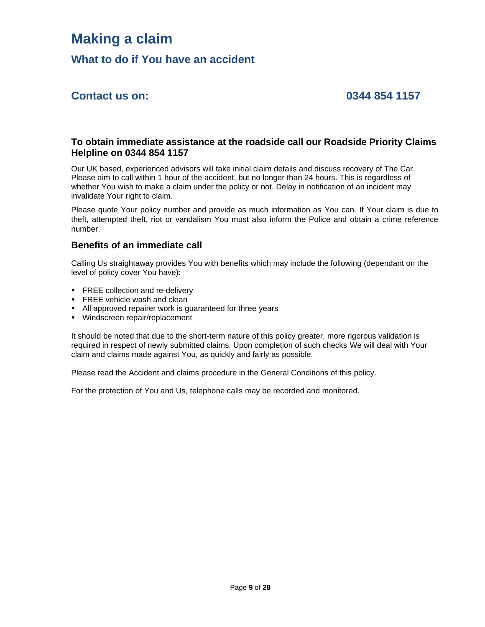# **Making a claim**

**What to do if You have an accident**

### **Contact us on: 0344 854 1157**

#### **To obtain immediate assistance at the roadside call our Roadside Priority Claims Helpline on 0344 854 1157**

Our UK based, experienced advisors will take initial claim details and discuss recovery of The Car. Please aim to call within 1 hour of the accident, but no longer than 24 hours. This is regardless of whether You wish to make a claim under the policy or not. Delay in notification of an incident may invalidate Your right to claim.

Please quote Your policy number and provide as much information as You can. If Your claim is due to theft, attempted theft, riot or vandalism You must also inform the Police and obtain a crime reference number.

#### **Benefits of an immediate call**

Calling Us straightaway provides You with benefits which may include the following (dependant on the level of policy cover You have):

- FREE collection and re-delivery
- **FREE vehicle wash and clean**
- All approved repairer work is guaranteed for three years
- Windscreen repair/replacement

It should be noted that due to the short-term nature of this policy greater, more rigorous validation is required in respect of newly submitted claims. Upon completion of such checks We will deal with Your claim and claims made against You, as quickly and fairly as possible.

Please read the Accident and claims procedure in the General Conditions of this policy.

For the protection of You and Us, telephone calls may be recorded and monitored.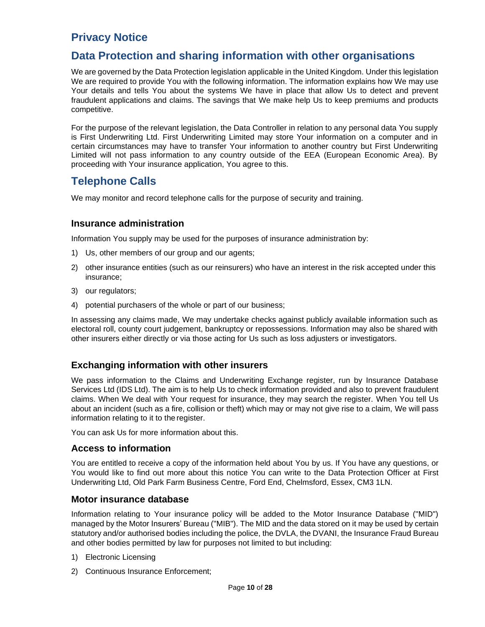### **Privacy Notice**

### **Data Protection and sharing information with other organisations**

We are governed by the Data Protection legislation applicable in the United Kingdom. Under this legislation We are required to provide You with the following information. The information explains how We may use Your details and tells You about the systems We have in place that allow Us to detect and prevent fraudulent applications and claims. The savings that We make help Us to keep premiums and products competitive.

For the purpose of the relevant legislation, the Data Controller in relation to any personal data You supply is First Underwriting Ltd. First Underwriting Limited may store Your information on a computer and in certain circumstances may have to transfer Your information to another country but First Underwriting Limited will not pass information to any country outside of the EEA (European Economic Area). By proceeding with Your insurance application, You agree to this.

### **Telephone Calls**

We may monitor and record telephone calls for the purpose of security and training.

#### **Insurance administration**

Information You supply may be used for the purposes of insurance administration by:

- 1) Us, other members of our group and our agents;
- 2) other insurance entities (such as our reinsurers) who have an interest in the risk accepted under this insurance;
- 3) our regulators;
- 4) potential purchasers of the whole or part of our business;

In assessing any claims made, We may undertake checks against publicly available information such as electoral roll, county court judgement, bankruptcy or repossessions. Information may also be shared with other insurers either directly or via those acting for Us such as loss adjusters or investigators.

#### **Exchanging information with other insurers**

We pass information to the Claims and Underwriting Exchange register, run by Insurance Database Services Ltd (IDS Ltd). The aim is to help Us to check information provided and also to prevent fraudulent claims. When We deal with Your request for insurance, they may search the register. When You tell Us about an incident (such as a fire, collision or theft) which may or may not give rise to a claim, We will pass information relating to it to the register.

You can ask Us for more information about this.

#### **Access to information**

You are entitled to receive a copy of the information held about You by us. If You have any questions, or You would like to find out more about this notice You can write to the Data Protection Officer at First Underwriting Ltd, Old Park Farm Business Centre, Ford End, Chelmsford, Essex, CM3 1LN.

#### **Motor insurance database**

Information relating to Your insurance policy will be added to the Motor Insurance Database ("MID") managed by the Motor Insurers' Bureau ("MIB"). The MID and the data stored on it may be used by certain statutory and/or authorised bodies including the police, the DVLA, the DVANI, the Insurance Fraud Bureau and other bodies permitted by law for purposes not limited to but including:

- 1) Electronic Licensing
- 2) Continuous Insurance Enforcement;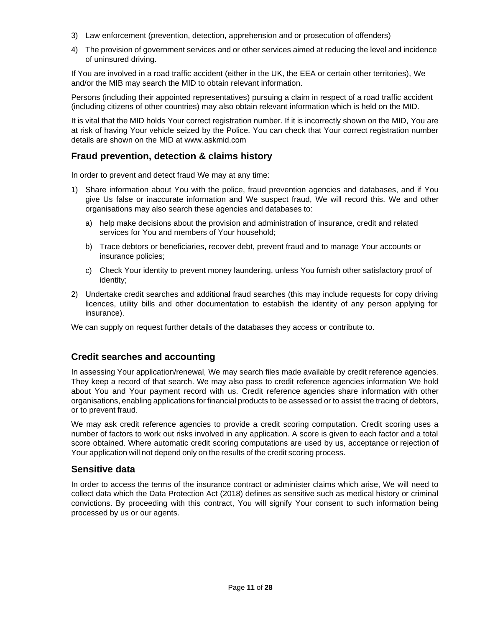- 3) Law enforcement (prevention, detection, apprehension and or prosecution of offenders)
- 4) The provision of government services and or other services aimed at reducing the level and incidence of uninsured driving.

If You are involved in a road traffic accident (either in the UK, the EEA or certain other territories), We and/or the MIB may search the MID to obtain relevant information.

Persons (including their appointed representatives) pursuing a claim in respect of a road traffic accident (including citizens of other countries) may also obtain relevant information which is held on the MID.

It is vital that the MID holds Your correct registration number. If it is incorrectly shown on the MID, You are at risk of having Your vehicle seized by the Police. You can check that Your correct registration number details are shown on the MID at [www.askmid.com](http://www.askmid.com/)

#### **Fraud prevention, detection & claims history**

In order to prevent and detect fraud We may at any time:

- 1) Share information about You with the police, fraud prevention agencies and databases, and if You give Us false or inaccurate information and We suspect fraud, We will record this. We and other organisations may also search these agencies and databases to:
	- a) help make decisions about the provision and administration of insurance, credit and related services for You and members of Your household;
	- b) Trace debtors or beneficiaries, recover debt, prevent fraud and to manage Your accounts or insurance policies;
	- c) Check Your identity to prevent money laundering, unless You furnish other satisfactory proof of identity;
- 2) Undertake credit searches and additional fraud searches (this may include requests for copy driving licences, utility bills and other documentation to establish the identity of any person applying for insurance).

We can supply on request further details of the databases they access or contribute to.

#### **Credit searches and accounting**

In assessing Your application/renewal, We may search files made available by credit reference agencies. They keep a record of that search. We may also pass to credit reference agencies information We hold about You and Your payment record with us. Credit reference agencies share information with other organisations, enabling applications for financial products to be assessed or to assist the tracing of debtors, or to prevent fraud.

We may ask credit reference agencies to provide a credit scoring computation. Credit scoring uses a number of factors to work out risks involved in any application. A score is given to each factor and a total score obtained. Where automatic credit scoring computations are used by us, acceptance or rejection of Your application will not depend only on the results of the credit scoring process.

#### **Sensitive data**

In order to access the terms of the insurance contract or administer claims which arise, We will need to collect data which the Data Protection Act (2018) defines as sensitive such as medical history or criminal convictions. By proceeding with this contract, You will signify Your consent to such information being processed by us or our agents.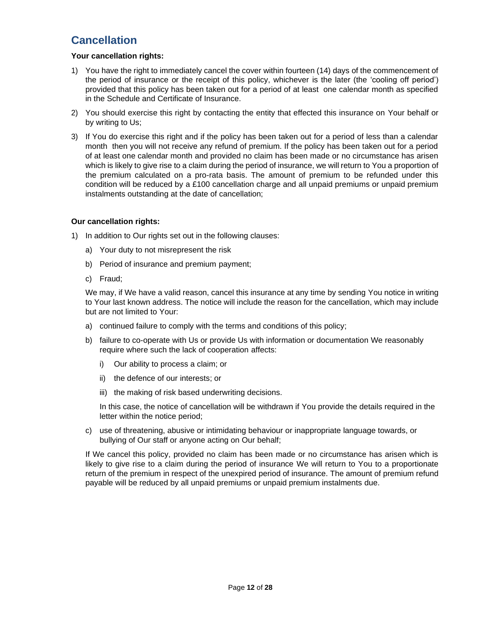### **Cancellation**

#### **Your cancellation rights:**

- 1) You have the right to immediately cancel the cover within fourteen (14) days of the commencement of the period of insurance or the receipt of this policy, whichever is the later (the 'cooling off period') provided that this policy has been taken out for a period of at least one calendar month as specified in the Schedule and Certificate of Insurance.
- 2) You should exercise this right by contacting the entity that effected this insurance on Your behalf or by writing to Us;
- 3) If You do exercise this right and if the policy has been taken out for a period of less than a calendar month then you will not receive any refund of premium. If the policy has been taken out for a period of at least one calendar month and provided no claim has been made or no circumstance has arisen which is likely to give rise to a claim during the period of insurance, we will return to You a proportion of the premium calculated on a pro-rata basis. The amount of premium to be refunded under this condition will be reduced by a £100 cancellation charge and all unpaid premiums or unpaid premium instalments outstanding at the date of cancellation;

#### **Our cancellation rights:**

- 1) In addition to Our rights set out in the following clauses:
	- a) Your duty to not misrepresent the risk
	- b) Period of insurance and premium payment;
	- c) Fraud;

We may, if We have a valid reason, cancel this insurance at any time by sending You notice in writing to Your last known address. The notice will include the reason for the cancellation, which may include but are not limited to Your:

- a) continued failure to comply with the terms and conditions of this policy;
- b) failure to co-operate with Us or provide Us with information or documentation We reasonably require where such the lack of cooperation affects:
	- i) Our ability to process a claim; or
	- ii) the defence of our interests; or
	- iii) the making of risk based underwriting decisions.

In this case, the notice of cancellation will be withdrawn if You provide the details required in the letter within the notice period;

c) use of threatening, abusive or intimidating behaviour or inappropriate language towards, or bullying of Our staff or anyone acting on Our behalf;

If We cancel this policy, provided no claim has been made or no circumstance has arisen which is likely to give rise to a claim during the period of insurance We will return to You to a proportionate return of the premium in respect of the unexpired period of insurance. The amount of premium refund payable will be reduced by all unpaid premiums or unpaid premium instalments due.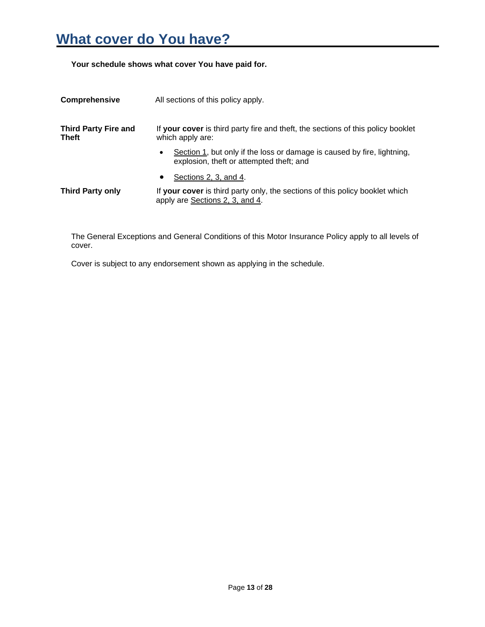# **What cover do You have?**

**Your schedule shows what cover You have paid for.**

| <b>Comprehensive</b>                        | All sections of this policy apply.                                                                                               |
|---------------------------------------------|----------------------------------------------------------------------------------------------------------------------------------|
| <b>Third Party Fire and</b><br><b>Theft</b> | If your cover is third party fire and theft, the sections of this policy booklet<br>which apply are:                             |
|                                             | Section 1, but only if the loss or damage is caused by fire, lightning,<br>$\bullet$<br>explosion, theft or attempted theft; and |
|                                             | Sections 2, 3, and 4.<br>$\bullet$                                                                                               |
| <b>Third Party only</b>                     | If your cover is third party only, the sections of this policy booklet which<br>apply are Sections 2, 3, and 4.                  |

The General Exceptions and General Conditions of this Motor Insurance Policy apply to all levels of cover.

Cover is subject to any endorsement shown as applying in the schedule.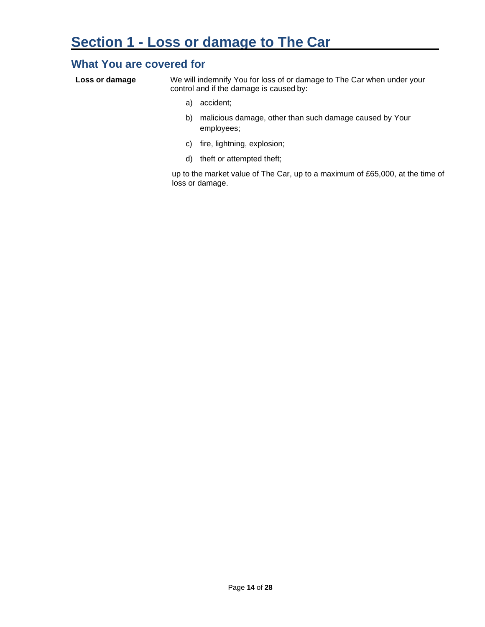### **What You are covered for**

| Loss or damage | We will indemnify You for loss of or damage to The Car when under your |
|----------------|------------------------------------------------------------------------|
|                | control and if the damage is caused by:                                |

- a) accident;
- b) malicious damage, other than such damage caused by Your employees;
- c) fire, lightning, explosion;
- d) theft or attempted theft;

up to the market value of The Car, up to a maximum of £65,000, at the time of loss or damage.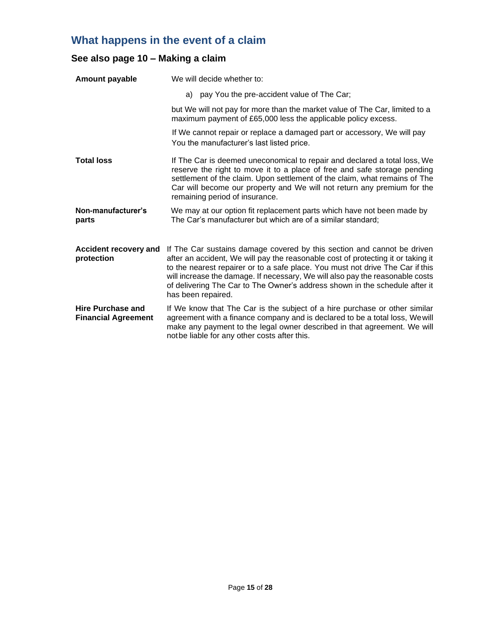## **What happens in the event of a claim**

### **See also page 10 – Making a claim**

| Amount payable                                         | We will decide whether to:                                                                                                                                                                                                                                                                                                                                                                                                          |
|--------------------------------------------------------|-------------------------------------------------------------------------------------------------------------------------------------------------------------------------------------------------------------------------------------------------------------------------------------------------------------------------------------------------------------------------------------------------------------------------------------|
|                                                        | a) pay You the pre-accident value of The Car;                                                                                                                                                                                                                                                                                                                                                                                       |
|                                                        | but We will not pay for more than the market value of The Car, limited to a<br>maximum payment of £65,000 less the applicable policy excess.                                                                                                                                                                                                                                                                                        |
|                                                        | If We cannot repair or replace a damaged part or accessory, We will pay<br>You the manufacturer's last listed price.                                                                                                                                                                                                                                                                                                                |
| <b>Total loss</b>                                      | If The Car is deemed uneconomical to repair and declared a total loss, We<br>reserve the right to move it to a place of free and safe storage pending<br>settlement of the claim. Upon settlement of the claim, what remains of The<br>Car will become our property and We will not return any premium for the<br>remaining period of insurance.                                                                                    |
| Non-manufacturer's<br>parts                            | We may at our option fit replacement parts which have not been made by<br>The Car's manufacturer but which are of a similar standard;                                                                                                                                                                                                                                                                                               |
| <b>Accident recovery and</b><br>protection             | If The Car sustains damage covered by this section and cannot be driven<br>after an accident, We will pay the reasonable cost of protecting it or taking it<br>to the nearest repairer or to a safe place. You must not drive The Car if this<br>will increase the damage. If necessary, We will also pay the reasonable costs<br>of delivering The Car to The Owner's address shown in the schedule after it<br>has been repaired. |
| <b>Hire Purchase and</b><br><b>Financial Agreement</b> | If We know that The Car is the subject of a hire purchase or other similar<br>agreement with a finance company and is declared to be a total loss, We will<br>make any payment to the legal owner described in that agreement. We will<br>notbe liable for any other costs after this.                                                                                                                                              |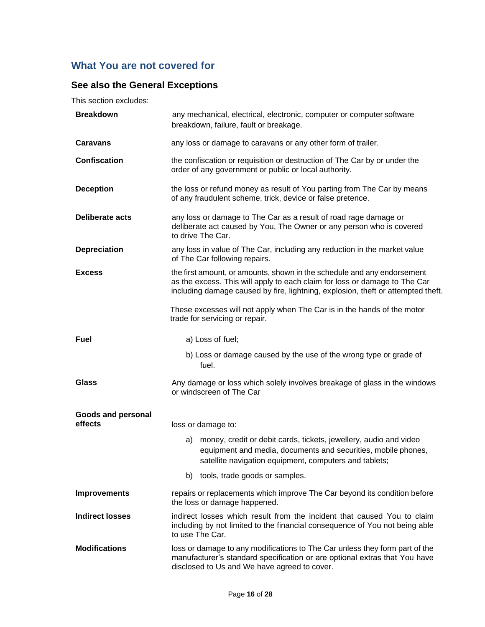### **What You are not covered for**

### **See also the General Exceptions**

This section excludes:

|                                      | breakdown, failure, fault or breakage.                                                                                                                                                                                                    |
|--------------------------------------|-------------------------------------------------------------------------------------------------------------------------------------------------------------------------------------------------------------------------------------------|
| <b>Caravans</b>                      | any loss or damage to caravans or any other form of trailer.                                                                                                                                                                              |
| <b>Confiscation</b>                  | the confiscation or requisition or destruction of The Car by or under the<br>order of any government or public or local authority.                                                                                                        |
| <b>Deception</b>                     | the loss or refund money as result of You parting from The Car by means<br>of any fraudulent scheme, trick, device or false pretence.                                                                                                     |
| <b>Deliberate acts</b>               | any loss or damage to The Car as a result of road rage damage or<br>deliberate act caused by You, The Owner or any person who is covered<br>to drive The Car.                                                                             |
| <b>Depreciation</b>                  | any loss in value of The Car, including any reduction in the market value<br>of The Car following repairs.                                                                                                                                |
| <b>Excess</b>                        | the first amount, or amounts, shown in the schedule and any endorsement<br>as the excess. This will apply to each claim for loss or damage to The Car<br>including damage caused by fire, lightning, explosion, theft or attempted theft. |
|                                      | These excesses will not apply when The Car is in the hands of the motor<br>trade for servicing or repair.                                                                                                                                 |
| Fuel                                 | a) Loss of fuel;                                                                                                                                                                                                                          |
|                                      | b) Loss or damage caused by the use of the wrong type or grade of<br>fuel.                                                                                                                                                                |
| <b>Glass</b>                         | Any damage or loss which solely involves breakage of glass in the windows<br>or windscreen of The Car                                                                                                                                     |
| <b>Goods and personal</b><br>effects | loss or damage to:                                                                                                                                                                                                                        |
|                                      | money, credit or debit cards, tickets, jewellery, audio and video<br>a)<br>equipment and media, documents and securities, mobile phones,<br>satellite navigation equipment, computers and tablets;                                        |
|                                      | tools, trade goods or samples.<br>b)                                                                                                                                                                                                      |
| <b>Improvements</b>                  | repairs or replacements which improve The Car beyond its condition before<br>the loss or damage happened.                                                                                                                                 |
| <b>Indirect losses</b>               | indirect losses which result from the incident that caused You to claim<br>including by not limited to the financial consequence of You not being able<br>to use The Car.                                                                 |
| <b>Modifications</b>                 | loss or damage to any modifications to The Car unless they form part of the<br>manufacturer's standard specification or are optional extras that You have<br>disclosed to Us and We have agreed to cover.                                 |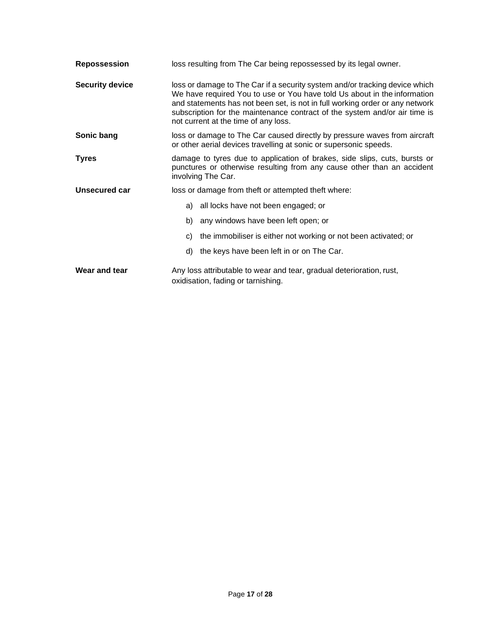| Repossession           | loss resulting from The Car being repossessed by its legal owner.                                                                                                                                                                                                                                                                                             |
|------------------------|---------------------------------------------------------------------------------------------------------------------------------------------------------------------------------------------------------------------------------------------------------------------------------------------------------------------------------------------------------------|
| <b>Security device</b> | loss or damage to The Car if a security system and/or tracking device which<br>We have required You to use or You have told Us about in the information<br>and statements has not been set, is not in full working order or any network<br>subscription for the maintenance contract of the system and/or air time is<br>not current at the time of any loss. |
| Sonic bang             | loss or damage to The Car caused directly by pressure waves from aircraft<br>or other aerial devices travelling at sonic or supersonic speeds.                                                                                                                                                                                                                |
| Tyres                  | damage to tyres due to application of brakes, side slips, cuts, bursts or<br>punctures or otherwise resulting from any cause other than an accident<br>involving The Car.                                                                                                                                                                                     |
| Unsecured car          | loss or damage from theft or attempted theft where:                                                                                                                                                                                                                                                                                                           |
|                        | a) all locks have not been engaged; or                                                                                                                                                                                                                                                                                                                        |
|                        | any windows have been left open; or<br>b)                                                                                                                                                                                                                                                                                                                     |
|                        | the immobiliser is either not working or not been activated; or<br>C)                                                                                                                                                                                                                                                                                         |
|                        | the keys have been left in or on The Car.<br>d)                                                                                                                                                                                                                                                                                                               |
| Wear and tear          | Any loss attributable to wear and tear, gradual deterioration, rust,<br>oxidisation, fading or tarnishing.                                                                                                                                                                                                                                                    |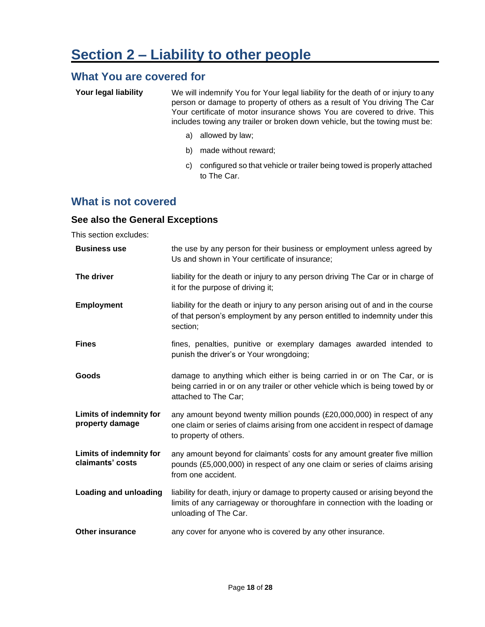### **What You are covered for**

| Your legal liability | We will indemnify You for Your legal liability for the death of or injury to any |
|----------------------|----------------------------------------------------------------------------------|
|                      | person or damage to property of others as a result of You driving The Car        |
|                      | Your certificate of motor insurance shows You are covered to drive. This         |
|                      | includes towing any trailer or broken down vehicle, but the towing must be:      |

- a) allowed by law;
- b) made without reward;
- c) configured so that vehicle or trailer being towed is properly attached to The Car.

### **What is not covered**

#### **See also the General Exceptions**

This section excludes:

| <b>Business use</b>                                | the use by any person for their business or employment unless agreed by<br>Us and shown in Your certificate of insurance;                                                              |
|----------------------------------------------------|----------------------------------------------------------------------------------------------------------------------------------------------------------------------------------------|
| The driver                                         | liability for the death or injury to any person driving The Car or in charge of<br>it for the purpose of driving it;                                                                   |
| <b>Employment</b>                                  | liability for the death or injury to any person arising out of and in the course<br>of that person's employment by any person entitled to indemnity under this<br>section;             |
| <b>Fines</b>                                       | fines, penalties, punitive or exemplary damages awarded intended to<br>punish the driver's or Your wrongdoing;                                                                         |
| Goods                                              | damage to anything which either is being carried in or on The Car, or is<br>being carried in or on any trailer or other vehicle which is being towed by or<br>attached to The Car;     |
| <b>Limits of indemnity for</b><br>property damage  | any amount beyond twenty million pounds (£20,000,000) in respect of any<br>one claim or series of claims arising from one accident in respect of damage<br>to property of others.      |
| <b>Limits of indemnity for</b><br>claimants' costs | any amount beyond for claimants' costs for any amount greater five million<br>pounds (£5,000,000) in respect of any one claim or series of claims arising<br>from one accident.        |
| Loading and unloading                              | liability for death, injury or damage to property caused or arising beyond the<br>limits of any carriageway or thoroughfare in connection with the loading or<br>unloading of The Car. |
| <b>Other insurance</b>                             | any cover for anyone who is covered by any other insurance.                                                                                                                            |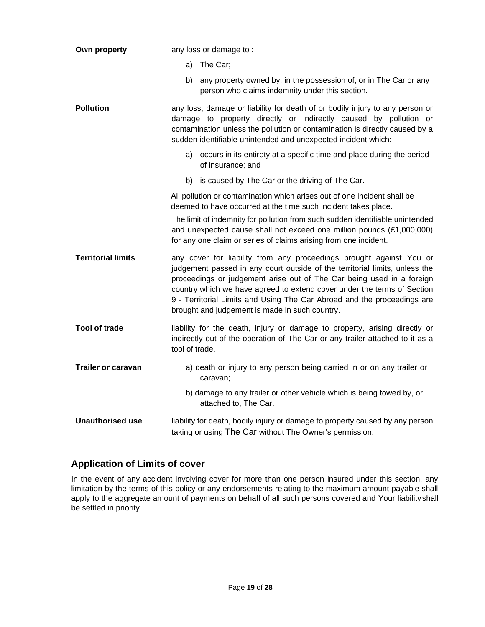| Own property              | any loss or damage to:                                                                                                                                                                                                                                                                                                                                                                                                              |
|---------------------------|-------------------------------------------------------------------------------------------------------------------------------------------------------------------------------------------------------------------------------------------------------------------------------------------------------------------------------------------------------------------------------------------------------------------------------------|
|                           | a) The Car;                                                                                                                                                                                                                                                                                                                                                                                                                         |
|                           | b)<br>any property owned by, in the possession of, or in The Car or any<br>person who claims indemnity under this section.                                                                                                                                                                                                                                                                                                          |
| <b>Pollution</b>          | any loss, damage or liability for death of or bodily injury to any person or<br>damage to property directly or indirectly caused by pollution or<br>contamination unless the pollution or contamination is directly caused by a<br>sudden identifiable unintended and unexpected incident which:                                                                                                                                    |
|                           | a) occurs in its entirety at a specific time and place during the period<br>of insurance; and                                                                                                                                                                                                                                                                                                                                       |
|                           | b) is caused by The Car or the driving of The Car.                                                                                                                                                                                                                                                                                                                                                                                  |
|                           | All pollution or contamination which arises out of one incident shall be<br>deemed to have occurred at the time such incident takes place.                                                                                                                                                                                                                                                                                          |
|                           | The limit of indemnity for pollution from such sudden identifiable unintended<br>and unexpected cause shall not exceed one million pounds (£1,000,000)<br>for any one claim or series of claims arising from one incident.                                                                                                                                                                                                          |
| <b>Territorial limits</b> | any cover for liability from any proceedings brought against You or<br>judgement passed in any court outside of the territorial limits, unless the<br>proceedings or judgement arise out of The Car being used in a foreign<br>country which we have agreed to extend cover under the terms of Section<br>9 - Territorial Limits and Using The Car Abroad and the proceedings are<br>brought and judgement is made in such country. |
| <b>Tool of trade</b>      | liability for the death, injury or damage to property, arising directly or<br>indirectly out of the operation of The Car or any trailer attached to it as a<br>tool of trade.                                                                                                                                                                                                                                                       |
| <b>Trailer or caravan</b> | a) death or injury to any person being carried in or on any trailer or<br>caravan;                                                                                                                                                                                                                                                                                                                                                  |
|                           | b) damage to any trailer or other vehicle which is being towed by, or<br>attached to, The Car.                                                                                                                                                                                                                                                                                                                                      |
| <b>Unauthorised use</b>   | liability for death, bodily injury or damage to property caused by any person<br>taking or using The Car without The Owner's permission.                                                                                                                                                                                                                                                                                            |

#### **Application of Limits of cover**

In the event of any accident involving cover for more than one person insured under this section, any limitation by the terms of this policy or any endorsements relating to the maximum amount payable shall apply to the aggregate amount of payments on behalf of all such persons covered and Your liabilityshall be settled in priority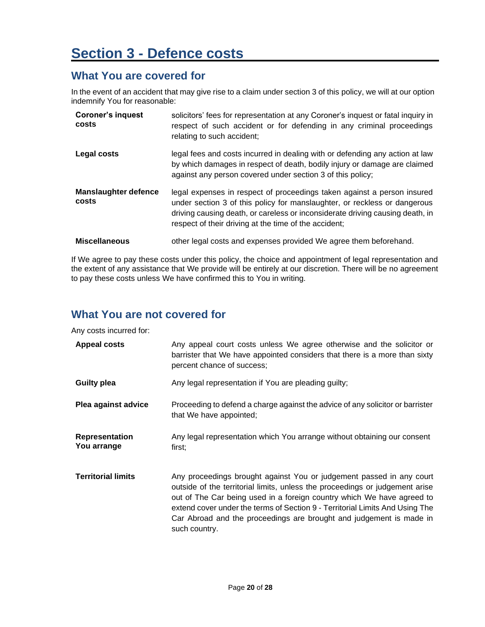# **Section 3 - Defence costs**

### **What You are covered for**

In the event of an accident that may give rise to a claim under section 3 of this policy, we will at our option indemnify You for reasonable:

| <b>Coroner's inquest</b><br>costs    | solicitors' fees for representation at any Coroner's inquest or fatal inquiry in<br>respect of such accident or for defending in any criminal proceedings<br>relating to such accident;                                                                                                        |
|--------------------------------------|------------------------------------------------------------------------------------------------------------------------------------------------------------------------------------------------------------------------------------------------------------------------------------------------|
| Legal costs                          | legal fees and costs incurred in dealing with or defending any action at law<br>by which damages in respect of death, bodily injury or damage are claimed<br>against any person covered under section 3 of this policy;                                                                        |
| <b>Manslaughter defence</b><br>costs | legal expenses in respect of proceedings taken against a person insured<br>under section 3 of this policy for manslaughter, or reckless or dangerous<br>driving causing death, or careless or inconsiderate driving causing death, in<br>respect of their driving at the time of the accident; |
| <b>Miscellaneous</b>                 | other legal costs and expenses provided We agree them beforehand.                                                                                                                                                                                                                              |

If We agree to pay these costs under this policy, the choice and appointment of legal representation and the extent of any assistance that We provide will be entirely at our discretion. There will be no agreement to pay these costs unless We have confirmed this to You in writing.

### **What You are not covered for**

Any costs incurred for:

| <b>Appeal costs</b>           | Any appeal court costs unless We agree otherwise and the solicitor or<br>barrister that We have appointed considers that there is a more than sixty<br>percent chance of success;                                                                                                                                                                                                                      |
|-------------------------------|--------------------------------------------------------------------------------------------------------------------------------------------------------------------------------------------------------------------------------------------------------------------------------------------------------------------------------------------------------------------------------------------------------|
| <b>Guilty plea</b>            | Any legal representation if You are pleading guilty;                                                                                                                                                                                                                                                                                                                                                   |
| Plea against advice           | Proceeding to defend a charge against the advice of any solicitor or barrister<br>that We have appointed;                                                                                                                                                                                                                                                                                              |
| Representation<br>You arrange | Any legal representation which You arrange without obtaining our consent<br>first:                                                                                                                                                                                                                                                                                                                     |
| <b>Territorial limits</b>     | Any proceedings brought against You or judgement passed in any court<br>outside of the territorial limits, unless the proceedings or judgement arise<br>out of The Car being used in a foreign country which We have agreed to<br>extend cover under the terms of Section 9 - Territorial Limits And Using The<br>Car Abroad and the proceedings are brought and judgement is made in<br>such country. |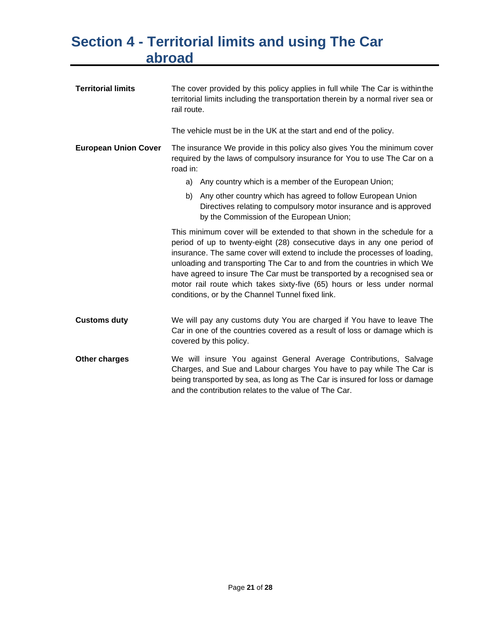# **Section 4 - Territorial limits and using The Car abroad**

| <b>Territorial limits</b>   | The cover provided by this policy applies in full while The Car is within the<br>territorial limits including the transportation therein by a normal river sea or<br>rail route.                                                                                                                                                                                                                                                                                                                                        |  |  |  |  |
|-----------------------------|-------------------------------------------------------------------------------------------------------------------------------------------------------------------------------------------------------------------------------------------------------------------------------------------------------------------------------------------------------------------------------------------------------------------------------------------------------------------------------------------------------------------------|--|--|--|--|
|                             | The vehicle must be in the UK at the start and end of the policy.                                                                                                                                                                                                                                                                                                                                                                                                                                                       |  |  |  |  |
| <b>European Union Cover</b> | The insurance We provide in this policy also gives You the minimum cover<br>required by the laws of compulsory insurance for You to use The Car on a<br>road in:                                                                                                                                                                                                                                                                                                                                                        |  |  |  |  |
|                             | a) Any country which is a member of the European Union;                                                                                                                                                                                                                                                                                                                                                                                                                                                                 |  |  |  |  |
|                             | Any other country which has agreed to follow European Union<br>b)<br>Directives relating to compulsory motor insurance and is approved<br>by the Commission of the European Union;                                                                                                                                                                                                                                                                                                                                      |  |  |  |  |
|                             | This minimum cover will be extended to that shown in the schedule for a<br>period of up to twenty-eight (28) consecutive days in any one period of<br>insurance. The same cover will extend to include the processes of loading,<br>unloading and transporting The Car to and from the countries in which We<br>have agreed to insure The Car must be transported by a recognised sea or<br>motor rail route which takes sixty-five (65) hours or less under normal<br>conditions, or by the Channel Tunnel fixed link. |  |  |  |  |
| <b>Customs duty</b>         | We will pay any customs duty You are charged if You have to leave The<br>Car in one of the countries covered as a result of loss or damage which is<br>covered by this policy.                                                                                                                                                                                                                                                                                                                                          |  |  |  |  |
| Other charges               | We will insure You against General Average Contributions, Salvage<br>Charges, and Sue and Labour charges You have to pay while The Car is<br>being transported by sea, as long as The Car is insured for loss or damage<br>and the contribution relates to the value of The Car.                                                                                                                                                                                                                                        |  |  |  |  |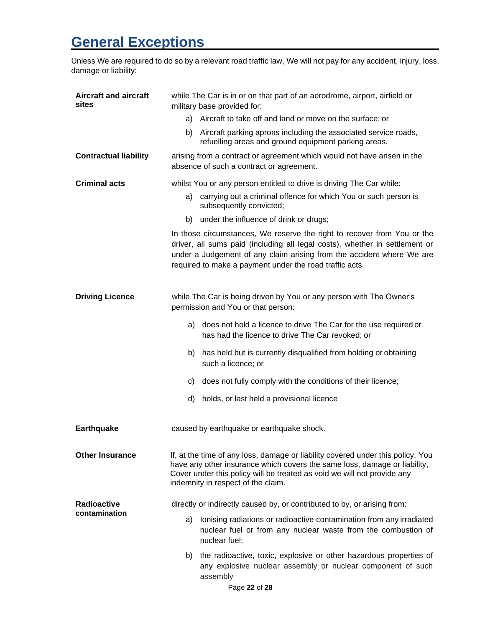# **General Exceptions**

Unless We are required to do so by a relevant road traffic law, We will not pay for any accident, injury, loss, damage or liability:

| <b>Aircraft and aircraft</b><br>sites | while The Car is in or on that part of an aerodrome, airport, airfield or<br>military base provided for:                                                                                                                                                                                   |  |  |  |  |
|---------------------------------------|--------------------------------------------------------------------------------------------------------------------------------------------------------------------------------------------------------------------------------------------------------------------------------------------|--|--|--|--|
|                                       | a) Aircraft to take off and land or move on the surface; or                                                                                                                                                                                                                                |  |  |  |  |
|                                       | b) Aircraft parking aprons including the associated service roads,<br>refuelling areas and ground equipment parking areas.                                                                                                                                                                 |  |  |  |  |
| <b>Contractual liability</b>          | arising from a contract or agreement which would not have arisen in the<br>absence of such a contract or agreement.                                                                                                                                                                        |  |  |  |  |
| <b>Criminal acts</b>                  | whilst You or any person entitled to drive is driving The Car while:                                                                                                                                                                                                                       |  |  |  |  |
|                                       | carrying out a criminal offence for which You or such person is<br>a)<br>subsequently convicted;                                                                                                                                                                                           |  |  |  |  |
|                                       | under the influence of drink or drugs;<br>b)                                                                                                                                                                                                                                               |  |  |  |  |
|                                       | In those circumstances, We reserve the right to recover from You or the<br>driver, all sums paid (including all legal costs), whether in settlement or<br>under a Judgement of any claim arising from the accident where We are<br>required to make a payment under the road traffic acts. |  |  |  |  |
| <b>Driving Licence</b>                | while The Car is being driven by You or any person with The Owner's<br>permission and You or that person:                                                                                                                                                                                  |  |  |  |  |
|                                       | does not hold a licence to drive The Car for the use required or<br>a)<br>has had the licence to drive The Car revoked; or                                                                                                                                                                 |  |  |  |  |
|                                       | has held but is currently disqualified from holding or obtaining<br>b)<br>such a licence; or                                                                                                                                                                                               |  |  |  |  |
|                                       | does not fully comply with the conditions of their licence;<br>C)                                                                                                                                                                                                                          |  |  |  |  |
|                                       | d)<br>holds, or last held a provisional licence                                                                                                                                                                                                                                            |  |  |  |  |
| <b>Earthquake</b>                     | caused by earthquake or earthquake shock.                                                                                                                                                                                                                                                  |  |  |  |  |
| <b>Other Insurance</b>                | If, at the time of any loss, damage or liability covered under this policy, You<br>have any other insurance which covers the same loss, damage or liability,<br>Cover under this policy will be treated as void we will not provide any<br>indemnity in respect of the claim.              |  |  |  |  |
| Radioactive<br>contamination          | directly or indirectly caused by, or contributed to by, or arising from:                                                                                                                                                                                                                   |  |  |  |  |
|                                       | Ionising radiations or radioactive contamination from any irradiated<br>a)<br>nuclear fuel or from any nuclear waste from the combustion of<br>nuclear fuel;                                                                                                                               |  |  |  |  |
|                                       | the radioactive, toxic, explosive or other hazardous properties of<br>b)<br>any explosive nuclear assembly or nuclear component of such<br>assembly                                                                                                                                        |  |  |  |  |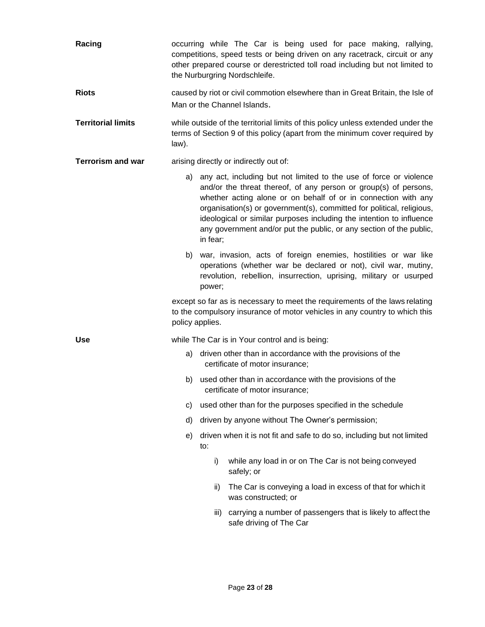| Racing                    | occurring while The Car is being used for pace making, rallying,<br>competitions, speed tests or being driven on any racetrack, circuit or any<br>other prepared course or derestricted toll road including but not limited to<br>the Nurburgring Nordschleife. |          |                                                                                                                                                                                                                                                                                                                                                                                                                                     |  |  |
|---------------------------|-----------------------------------------------------------------------------------------------------------------------------------------------------------------------------------------------------------------------------------------------------------------|----------|-------------------------------------------------------------------------------------------------------------------------------------------------------------------------------------------------------------------------------------------------------------------------------------------------------------------------------------------------------------------------------------------------------------------------------------|--|--|
| <b>Riots</b>              | caused by riot or civil commotion elsewhere than in Great Britain, the Isle of<br>Man or the Channel Islands.                                                                                                                                                   |          |                                                                                                                                                                                                                                                                                                                                                                                                                                     |  |  |
| <b>Territorial limits</b> | while outside of the territorial limits of this policy unless extended under the<br>terms of Section 9 of this policy (apart from the minimum cover required by<br>law).                                                                                        |          |                                                                                                                                                                                                                                                                                                                                                                                                                                     |  |  |
| <b>Terrorism and war</b>  | arising directly or indirectly out of:                                                                                                                                                                                                                          |          |                                                                                                                                                                                                                                                                                                                                                                                                                                     |  |  |
|                           |                                                                                                                                                                                                                                                                 | in fear; | a) any act, including but not limited to the use of force or violence<br>and/or the threat thereof, of any person or group(s) of persons,<br>whether acting alone or on behalf of or in connection with any<br>organisation(s) or government(s), committed for political, religious,<br>ideological or similar purposes including the intention to influence<br>any government and/or put the public, or any section of the public, |  |  |
|                           | b) war, invasion, acts of foreign enemies, hostilities or war like<br>operations (whether war be declared or not), civil war, mutiny,<br>revolution, rebellion, insurrection, uprising, military or usurped<br>power;                                           |          |                                                                                                                                                                                                                                                                                                                                                                                                                                     |  |  |
|                           | except so far as is necessary to meet the requirements of the laws relating<br>to the compulsory insurance of motor vehicles in any country to which this<br>policy applies.                                                                                    |          |                                                                                                                                                                                                                                                                                                                                                                                                                                     |  |  |
| <b>Use</b>                | while The Car is in Your control and is being:                                                                                                                                                                                                                  |          |                                                                                                                                                                                                                                                                                                                                                                                                                                     |  |  |
|                           |                                                                                                                                                                                                                                                                 |          | a) driven other than in accordance with the provisions of the<br>certificate of motor insurance;                                                                                                                                                                                                                                                                                                                                    |  |  |
|                           | b)                                                                                                                                                                                                                                                              |          | used other than in accordance with the provisions of the<br>certificate of motor insurance:                                                                                                                                                                                                                                                                                                                                         |  |  |
|                           | C)                                                                                                                                                                                                                                                              |          | used other than for the purposes specified in the schedule                                                                                                                                                                                                                                                                                                                                                                          |  |  |
|                           | d)                                                                                                                                                                                                                                                              |          | driven by anyone without The Owner's permission;                                                                                                                                                                                                                                                                                                                                                                                    |  |  |
|                           | e)                                                                                                                                                                                                                                                              | to:      | driven when it is not fit and safe to do so, including but not limited                                                                                                                                                                                                                                                                                                                                                              |  |  |
|                           |                                                                                                                                                                                                                                                                 | i)       | while any load in or on The Car is not being conveyed<br>safely; or                                                                                                                                                                                                                                                                                                                                                                 |  |  |
|                           |                                                                                                                                                                                                                                                                 | ii)      | The Car is conveying a load in excess of that for which it<br>was constructed; or                                                                                                                                                                                                                                                                                                                                                   |  |  |
|                           |                                                                                                                                                                                                                                                                 | iii)     | carrying a number of passengers that is likely to affect the<br>safe driving of The Car                                                                                                                                                                                                                                                                                                                                             |  |  |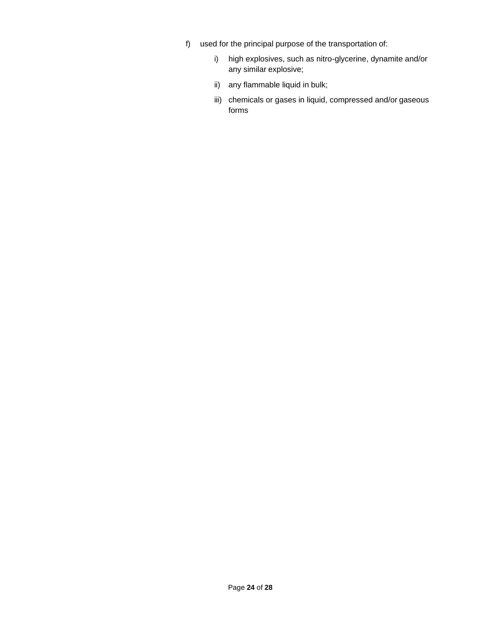- f) used for the principal purpose of the transportation of:
	- i) high explosives, such as nitro-glycerine, dynamite and/or any similar explosive;
	- ii) any flammable liquid in bulk;
	- iii) chemicals or gases in liquid, compressed and/or gaseous forms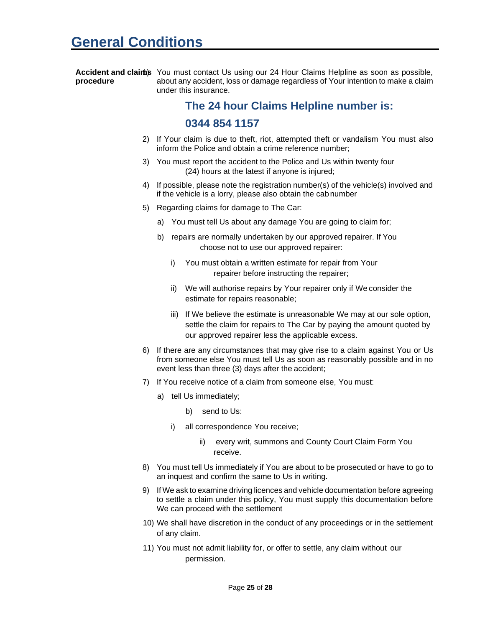#### Accident and clainis You must contact Us using our 24 Hour Claims Helpline as soon as possible, **procedure** about any accident, loss or damage regardless of Your intention to make a claim under this insurance.

### **The 24 hour Claims Helpline number is: 0344 854 1157**

- 2) If Your claim is due to theft, riot, attempted theft or vandalism You must also inform the Police and obtain a crime reference number;
- 3) You must report the accident to the Police and Us within twenty four (24) hours at the latest if anyone is injured;
- 4) If possible, please note the registration number(s) of the vehicle(s) involved and if the vehicle is a lorry, please also obtain the cabnumber
- 5) Regarding claims for damage to The Car:
	- a) You must tell Us about any damage You are going to claim for;
	- b) repairs are normally undertaken by our approved repairer. If You choose not to use our approved repairer:
		- i) You must obtain a written estimate for repair from Your repairer before instructing the repairer;
		- ii) We will authorise repairs by Your repairer only if We consider the estimate for repairs reasonable;
		- iii) If We believe the estimate is unreasonable We may at our sole option, settle the claim for repairs to The Car by paying the amount quoted by our approved repairer less the applicable excess.
- 6) If there are any circumstances that may give rise to a claim against You or Us from someone else You must tell Us as soon as reasonably possible and in no event less than three (3) days after the accident;
- 7) If You receive notice of a claim from someone else, You must:
	- a) tell Us immediately;
		- b) send to Us:
		- i) all correspondence You receive;
			- ii) every writ, summons and County Court Claim Form You receive.
- 8) You must tell Us immediately if You are about to be prosecuted or have to go to an inquest and confirm the same to Us in writing.
- 9) If We ask to examine driving licences and vehicle documentation before agreeing to settle a claim under this policy, You must supply this documentation before We can proceed with the settlement
- 10) We shall have discretion in the conduct of any proceedings or in the settlement of any claim.
- 11) You must not admit liability for, or offer to settle, any claim without our permission.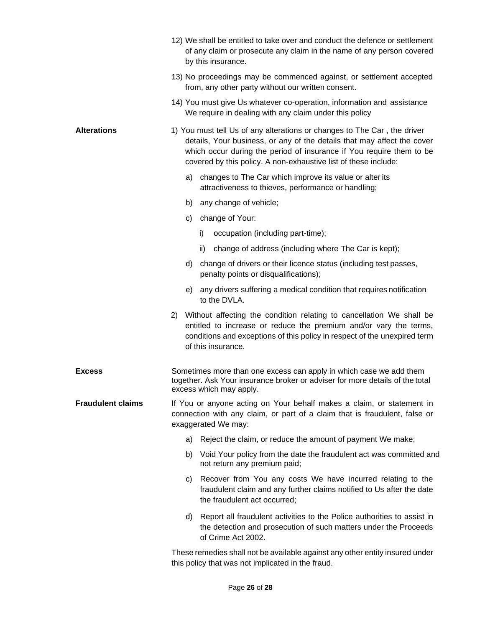|                          | 12) We shall be entitled to take over and conduct the defence or settlement<br>of any claim or prosecute any claim in the name of any person covered<br>by this insurance.                                                                                                                     |  |  |  |  |
|--------------------------|------------------------------------------------------------------------------------------------------------------------------------------------------------------------------------------------------------------------------------------------------------------------------------------------|--|--|--|--|
|                          | 13) No proceedings may be commenced against, or settlement accepted<br>from, any other party without our written consent.                                                                                                                                                                      |  |  |  |  |
|                          | 14) You must give Us whatever co-operation, information and assistance<br>We require in dealing with any claim under this policy                                                                                                                                                               |  |  |  |  |
| <b>Alterations</b>       | 1) You must tell Us of any alterations or changes to The Car, the driver<br>details, Your business, or any of the details that may affect the cover<br>which occur during the period of insurance if You require them to be<br>covered by this policy. A non-exhaustive list of these include: |  |  |  |  |
|                          | a) changes to The Car which improve its value or alter its<br>attractiveness to thieves, performance or handling;                                                                                                                                                                              |  |  |  |  |
|                          | b) any change of vehicle;                                                                                                                                                                                                                                                                      |  |  |  |  |
|                          | change of Your:<br>C)                                                                                                                                                                                                                                                                          |  |  |  |  |
|                          | occupation (including part-time);<br>i)                                                                                                                                                                                                                                                        |  |  |  |  |
|                          | change of address (including where The Car is kept);<br>ii)                                                                                                                                                                                                                                    |  |  |  |  |
|                          | d) change of drivers or their licence status (including test passes,<br>penalty points or disqualifications);                                                                                                                                                                                  |  |  |  |  |
|                          | e) any drivers suffering a medical condition that requires notification<br>to the DVLA.                                                                                                                                                                                                        |  |  |  |  |
|                          | Without affecting the condition relating to cancellation We shall be<br>2)<br>entitled to increase or reduce the premium and/or vary the terms,<br>conditions and exceptions of this policy in respect of the unexpired term<br>of this insurance.                                             |  |  |  |  |
| <b>Excess</b>            | Sometimes more than one excess can apply in which case we add them<br>together. Ask Your insurance broker or adviser for more details of the total<br>excess which may apply.                                                                                                                  |  |  |  |  |
| <b>Fraudulent claims</b> | If You or anyone acting on Your behalf makes a claim, or statement in<br>connection with any claim, or part of a claim that is fraudulent, false or<br>exaggerated We may:                                                                                                                     |  |  |  |  |
|                          | Reject the claim, or reduce the amount of payment We make;<br>a)                                                                                                                                                                                                                               |  |  |  |  |
|                          | Void Your policy from the date the fraudulent act was committed and<br>b)<br>not return any premium paid;                                                                                                                                                                                      |  |  |  |  |
|                          | Recover from You any costs We have incurred relating to the<br>C)<br>fraudulent claim and any further claims notified to Us after the date<br>the fraudulent act occurred;                                                                                                                     |  |  |  |  |
|                          | Report all fraudulent activities to the Police authorities to assist in<br>d)<br>the detection and prosecution of such matters under the Proceeds<br>of Crime Act 2002.                                                                                                                        |  |  |  |  |
|                          | These remedies shall not be available against any other entity insured under<br>this policy that was not implicated in the fraud.                                                                                                                                                              |  |  |  |  |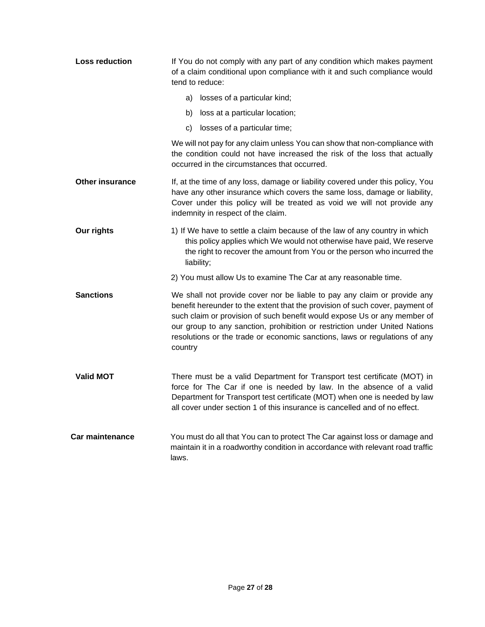| <b>Loss reduction</b>  | If You do not comply with any part of any condition which makes payment<br>of a claim conditional upon compliance with it and such compliance would<br>tend to reduce:                                                                                                                                                                                                                                      |  |  |
|------------------------|-------------------------------------------------------------------------------------------------------------------------------------------------------------------------------------------------------------------------------------------------------------------------------------------------------------------------------------------------------------------------------------------------------------|--|--|
|                        | losses of a particular kind;<br>a)                                                                                                                                                                                                                                                                                                                                                                          |  |  |
|                        | loss at a particular location;<br>b)                                                                                                                                                                                                                                                                                                                                                                        |  |  |
|                        | losses of a particular time;<br>C)                                                                                                                                                                                                                                                                                                                                                                          |  |  |
|                        | We will not pay for any claim unless You can show that non-compliance with<br>the condition could not have increased the risk of the loss that actually<br>occurred in the circumstances that occurred.                                                                                                                                                                                                     |  |  |
| <b>Other insurance</b> | If, at the time of any loss, damage or liability covered under this policy, You<br>have any other insurance which covers the same loss, damage or liability,<br>Cover under this policy will be treated as void we will not provide any<br>indemnity in respect of the claim.                                                                                                                               |  |  |
| Our rights             | 1) If We have to settle a claim because of the law of any country in which<br>this policy applies which We would not otherwise have paid, We reserve<br>the right to recover the amount from You or the person who incurred the<br>liability;                                                                                                                                                               |  |  |
|                        | 2) You must allow Us to examine The Car at any reasonable time.                                                                                                                                                                                                                                                                                                                                             |  |  |
| <b>Sanctions</b>       | We shall not provide cover nor be liable to pay any claim or provide any<br>benefit hereunder to the extent that the provision of such cover, payment of<br>such claim or provision of such benefit would expose Us or any member of<br>our group to any sanction, prohibition or restriction under United Nations<br>resolutions or the trade or economic sanctions, laws or regulations of any<br>country |  |  |
| <b>Valid MOT</b>       | There must be a valid Department for Transport test certificate (MOT) in<br>force for The Car if one is needed by law. In the absence of a valid<br>Department for Transport test certificate (MOT) when one is needed by law<br>all cover under section 1 of this insurance is cancelled and of no effect.                                                                                                 |  |  |
| Car maintenance        | You must do all that You can to protect The Car against loss or damage and<br>maintain it in a roadworthy condition in accordance with relevant road traffic<br>laws.                                                                                                                                                                                                                                       |  |  |